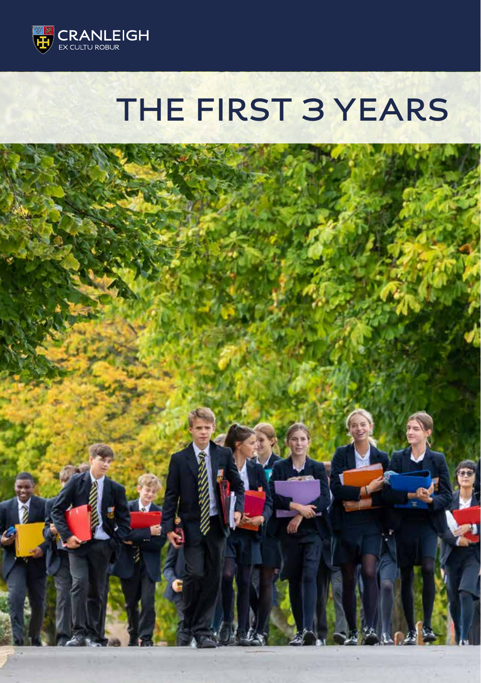

### **THE FIRST 3 YEARS**

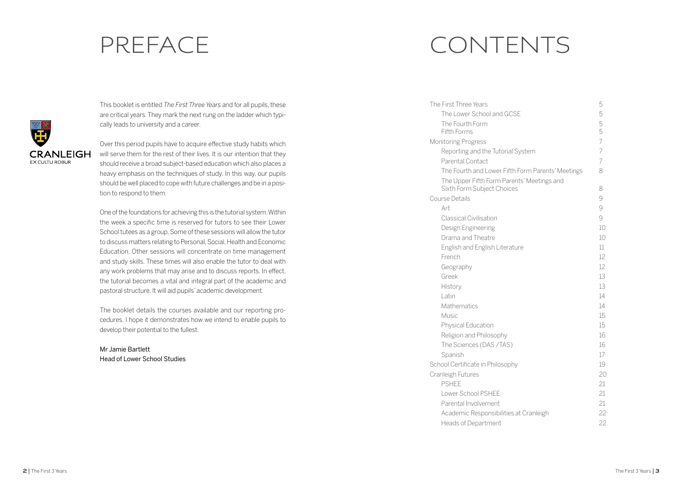

This booklet is entitled *The First Three Years* and for all pupils, these are critical years. They mark the next rung on the ladder which typically leads to university and a career.

Over this period pupils have to acquire effective study habits which will serve them for the rest of their lives. It is our intention that they should receive a broad subject-based education which also places a heavy emphasis on the techniques of study. In this way, our pupils should be well placed to cope with future challenges and be in a position to respond to them.

One of the foundations for achieving this is the tutorial system. Within the week a specific time is reserved for tutors to see their Lower School tutees as a group. Some of these sessions will allow the tutor to discuss matters relating to Personal, Social, Health and Economic Education. Other sessions will concentrate on time management and study skills. These times will also enable the tutor to deal with any work problems that may arise and to discuss reports. In effect, the tutorial becomes a vital and integral part of the academic and pastoral structure. It will aid pupils' academic development.

The booklet details the courses available and our reporting procedures. I hope it demonstrates how we intend to enable pupils to develop their potential to the fullest.

Mr Jamie Bartlett Head of Lower School Studies

# PREFACE CONTENTS

| The First Three Years                             | 5              |
|---------------------------------------------------|----------------|
| The Lower School and GCSF                         | 5              |
| The Fourth Form                                   | 5              |
| Fifth Forms                                       | 5              |
| <b>Monitoring Progress</b>                        | $\overline{7}$ |
| Reporting and the Tutorial System                 | $\overline{7}$ |
| Parental Contact                                  | 7              |
| The Fourth and Lower Fifth Form Parents' Meetings | 8              |
| The Upper Fifth Form Parents' Meetings and        |                |
| Sixth Form Subject Choices                        | 8              |
| Course Details                                    | 9              |
| Art                                               | 9              |
| <b>Classical Civilisation</b>                     | 9              |
| Design Engineering                                | 10             |
| Drama and Theatre                                 | 10             |
| <b>English and English Literature</b>             | 11             |
| French                                            | 12             |
| Geography                                         | 12             |
| Greek                                             | 13             |
| History                                           | 13             |
| l atin                                            | 14             |
| Mathematics                                       | 14             |
| Music                                             | 15             |
| Physical Education                                | 15             |
| Religion and Philosophy                           | 16             |
| The Sciences (DAS /TAS)                           | 16             |
| Spanish                                           | 17             |
| School Certificate in Philosophy                  | 19             |
| Cranleigh Futures                                 | 20             |
| <b>PSHFF</b>                                      | 21             |
| Lower School PSHFF                                | 21             |
| Parental Involvement                              | 21             |
| Academic Responsibilities at Cranleigh            | 22             |
| <b>Heads of Department</b>                        | 22             |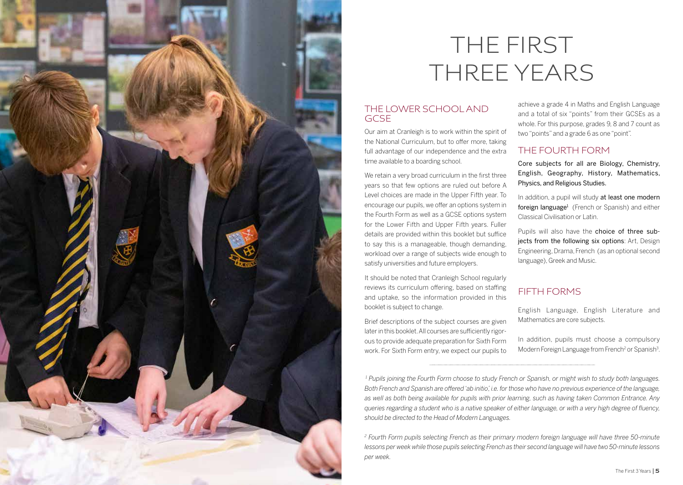

# THE FIRST THREE YEARS

#### THE LOWER SCHOOL AND GCSE

Our aim at Cranleigh is to work within the spirit of the National Curriculum, but to offer more, taking full advantage of our independence and the extra time available to a boarding school.

We retain a very broad curriculum in the first three years so that few options are ruled out before A Level choices are made in the Upper Fifth year. To encourage our pupils, we offer an options system in the Fourth Form as well as a GCSE options system for the Lower Fifth and Upper Fifth years. Fuller details are provided within this booklet but suffice to say this is a manageable, though demanding, workload over a range of subjects wide enough to satisfy universities and future employers.

It should be noted that Cranleigh School regularly reviews its curriculum offering, based on staffing and uptake, so the information provided in this booklet is subject to change.

Brief descriptions of the subject courses are given later in this booklet. All courses are sufficiently rigor ous to provide adequate preparation for Sixth Form work. For Sixth Form entry, we expect our pupils to achieve a grade 4 in Maths and English Language and a total of six "points" from their GCSEs as a whole. For this purpose, grades 9, 8 and 7 count as two "points" and a grade 6 as one "point".

#### THE FOURTH FORM

Core subjects for all are Biology, Chemistry, English, Geography, History, Mathematics, Physics, and Religious Studies.

In addition, a pupil will study at least one modern foreign language<sup>1</sup> (French or Spanish) and either Classical Civilisation or Latin.

Pupils will also have the choice of three subjects from the following six options: Art, Design Engineering, Drama, French (as an optional second language), Greek and Music.

#### FIFTH FORMS

English Language, English Literature and Mathematics are core subjects.

In addition, pupils must choose a compulsory Modern Foreign Language from French<sup>2</sup> or Spanish<sup>3</sup>.

 *1 Pupils joining the Fourth Form choose to study French or Spanish, or might wish to study both languages. Both French and Spanish are offered 'ab initio', i.e. for those who have no previous experience of the language, as well as both being available for pupils with prior learning, such as having taken Common Entrance. Any queries regarding a student who is a native speaker of either language, or with a very high degree of fluency, should be directed to the Head of Modern Languages.*

<sup>2</sup> Fourth Form pupils selecting French as their primary modern foreign language will have three 50-minute *lessons per week while those pupils selecting French as their second language will have two 50-minute lessons per week.*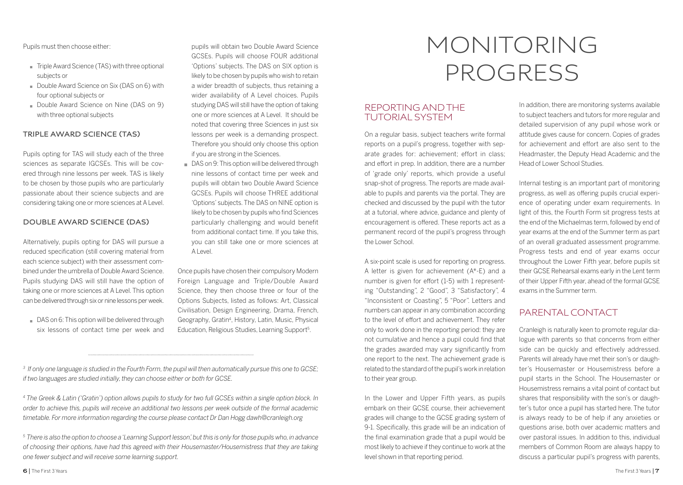Pupils must then choose either:

- Triple Award Science (TAS) with three optional subjects or
- Double Award Science on Six (DAS on 6) with four optional subjects or
- Double Award Science on Nine (DAS on 9) with three optional subjects

#### **TRIPLE AWARD SCIENCE (TAS)**

Pupils opting for TAS will study each of the three sciences as separate IGCSEs. This will be covered through nine lessons per week. TAS is likely to be chosen by those pupils who are particularly passionate about their science subjects and are considering taking one or more sciences at A Level.

#### **DOUBLE AWARD SCIENCE (DAS)**

Alternatively, pupils opting for DAS will pursue a reduced specification (still covering material from each science subject) with their assessment combined under the umbrella of Double Award Science. Pupils studying DAS will still have the option of taking one or more sciences at A Level. This option can be delivered through six or nine lessons per week.

DAS on 6: This option will be delivered through six lessons of contact time per week and

pupils will obtain two Double Award Science GCSEs. Pupils will choose FOUR additional 'Options' subjects. The DAS on SIX option is likely to be chosen by pupils who wish to retain a wider breadth of subjects, thus retaining a wider availability of A Level choices. Pupils studying DAS will still have the option of taking one or more sciences at A Level. It should be noted that covering three Sciences in just six lessons per week is a demanding prospect. Therefore you should only choose this option if you are strong in the Sciences.

DAS on 9: This option will be delivered through nine lessons of contact time per week and pupils will obtain two Double Award Science GCSEs. Pupils will choose THREE additional 'Options' subjects. The DAS on NINE option is likely to be chosen by pupils who find Sciences particularly challenging and would benefit from additional contact time. If you take this, you can still take one or more sciences at  $A | P$ 

Once pupils have chosen their compulsory Modern Foreign Language and Triple/Double Award Science, they then choose three or four of the Options Subjects, listed as follows: Art, Classical Civilisation, Design Engineering, Drama, French, Geography, Gratin4 , History, Latin, Music, Physical Education, Religious Studies, Learning Support<sup>5</sup>.

# MONITORING PROGRESS

#### REPORTING AND THE TUTORIAL SYSTEM

On a regular basis, subject teachers write formal reports on a pupil's progress, together with separate grades for: achievement; effort in class; and effort in prep. In addition, there are a number of 'grade only' reports, which provide a useful snap-shot of progress. The reports are made available to pupils and parents via the portal. They are checked and discussed by the pupil with the tutor at a tutorial, where advice, guidance and plenty of encouragement is offered. These reports act as a permanent record of the pupil's progress through the Lower School.

A six-point scale is used for reporting on progress. A letter is given for achievement (A\*-E) and a number is given for effort (1-5) with 1 representing "Outstanding", 2 "Good", 3 "Satisfactory", 4 "Inconsistent or Coasting", 5 "Poor". Letters and numbers can appear in any combination according to the level of effort and achievement. They refer only to work done in the reporting period: they are not cumulative and hence a pupil could find that the grades awarded may vary significantly from one report to the next. The achievement grade is related to the standard of the pupil's work in relation to their year group.

In the Lower and Upper Fifth years, as pupils embark on their GCSE course, their achievement grades will change to the GCSE grading system of 9-1. Specifically, this grade will be an indication of the final examination grade that a pupil would be most likely to achieve if they continue to work at the level shown in that reporting period.

In addition, there are monitoring systems available to subject teachers and tutors for more regular and detailed supervision of any pupil whose work or attitude gives cause for concern. Copies of grades for achievement and effort are also sent to the Headmaster, the Deputy Head Academic and the Head of Lower School Studies.

Internal testing is an important part of monitoring progress, as well as offering pupils crucial experience of operating under exam requirements. In light of this, the Fourth Form sit progress tests at the end of the Michaelmas term, followed by end of year exams at the end of the Summer term as part of an overall graduated assessment programme. Progress tests and end of year exams occur throughout the Lower Fifth year, before pupils sit their GCSE Rehearsal exams early in the Lent term of their Upper Fifth year, ahead of the formal GCSE exams in the Summer term.

#### PARENTAL CONTACT

Cranleigh is naturally keen to promote regular dialogue with parents so that concerns from either side can be quickly and effectively addressed. Parents will already have met their son's or daughter's Housemaster or Housemistress before a pupil starts in the School. The Housemaster or Housemistress remains a vital point of contact but shares that responsibility with the son's or daughter's tutor once a pupil has started here. The tutor is always ready to be of help if any anxieties or questions arise, both over academic matters and over pastoral issues. In addition to this, individual members of Common Room are always happy to discuss a particular pupil's progress with parents,

*<sup>3</sup> If only one language is studied in the Fourth Form, the pupil will then automatically pursue this one to GCSE; if two languages are studied initially, they can choose either or both for GCSE.* 

*<sup>4</sup> The Greek & Latin ('Gratin') option allows pupils to study for two full GCSEs within a single option block. In order to achieve this, pupils will receive an additional two lessons per week outside of the formal academic timetable. For more information regarding the course please contact Dr Dan Hogg dawh@cranleigh.org*

*<sup>5</sup> There is also the option to choose a 'Learning Support lesson', but this is only for those pupils who, in advance of choosing their options, have had this agreed with their Housemaster/Housemistress that they are taking one fewer subject and will receive some learning support.*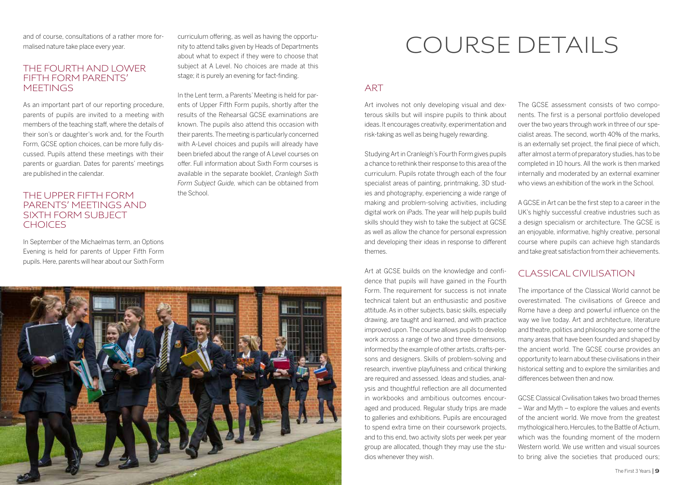and of course, consultations of a rather more formalised nature take place every year.

#### THE FOURTH AND LOWER FIFTH FORM PARENTS' **MEETINGS**

As an important part of our reporting procedure, parents of pupils are invited to a meeting with members of the teaching staff, where the details of their son's or daughter's work and, for the Fourth Form, GCSE option choices, can be more fully discussed. Pupils attend these meetings with their parents or guardian. Dates for parents' meetings are published in the calendar.

#### THE UPPER FIFTH FORM PARENTS' MEETINGS AND SIXTH FORM SUBJECT **CHOICES**

In September of the Michaelmas term, an Options Evening is held for parents of Upper Fifth Form pupils. Here, parents will hear about our Sixth Form

curriculum offering, as well as having the opportunity to attend talks given by Heads of Departments about what to expect if they were to choose that subject at A Level. No choices are made at this stage; it is purely an evening for fact-finding.

In the Lent term, a Parents' Meeting is held for parents of Upper Fifth Form pupils, shortly after the results of the Rehearsal GCSE examinations are known. The pupils also attend this occasion with their parents. The meeting is particularly concerned with A-Level choices and pupils will already have been briefed about the range of A Level courses on offer. Full information about Sixth Form courses is available in the separate booklet, *Cranleigh Sixth Form Subject Guide,* which can be obtained from the School.



### COURSE DETAILS

#### ART

Art involves not only developing visual and dexterous skills but will inspire pupils to think about ideas. It encourages creativity, experimentation and risk-taking as well as being hugely rewarding.

Studying Art in Cranleigh's Fourth Form gives pupils a chance to rethink their response to this area of the curriculum. Pupils rotate through each of the four specialist areas of painting, printmaking, 3D studies and photography, experiencing a wide range of making and problem-solving activities, including digital work on iPads. The year will help pupils build skills should they wish to take the subject at GCSE as well as allow the chance for personal expression and developing their ideas in response to different themes.

Art at GCSE builds on the knowledge and confidence that pupils will have gained in the Fourth Form. The requirement for success is not innate technical talent but an enthusiastic and positive attitude. As in other subjects, basic skills, especially drawing, are taught and learned, and with practice improved upon. The course allows pupils to develop work across a range of two and three dimensions, informed by the example of other artists, crafts-persons and designers. Skills of problem-solving and research, inventive playfulness and critical thinking are required and assessed. Ideas and studies, analysis and thoughtful reflection are all documented in workbooks and ambitious outcomes encouraged and produced. Regular study trips are made to galleries and exhibitions. Pupils are encouraged to spend extra time on their coursework projects, and to this end, two activity slots per week per year group are allocated, though they may use the studios whenever they wish.

The GCSE assessment consists of two components. The first is a personal portfolio developed over the two years through work in three of our specialist areas. The second, worth 40% of the marks, is an externally set project, the final piece of which, after almost a term of preparatory studies, has to be completed in 10 hours. All the work is then marked internally and moderated by an external examiner who views an exhibition of the work in the School.

A GCSE in Art can be the first step to a career in the UK's highly successful creative industries such as a design specialism or architecture. The GCSE is an enjoyable, informative, highly creative, personal course where pupils can achieve high standards and take great satisfaction from their achievements.

#### CLASSICAL CIVILISATION

The importance of the Classical World cannot be overestimated. The civilisations of Greece and Rome have a deep and powerful influence on the way we live today. Art and architecture, literature and theatre, politics and philosophy are some of the many areas that have been founded and shaped by the ancient world. The GCSE course provides an opportunity to learn about these civilisations in their historical setting and to explore the similarities and differences between then and now.

GCSE Classical Civilisation takes two broad themes – War and Myth – to explore the values and events of the ancient world. We move from the greatest mythological hero, Hercules, to the Battle of Actium, which was the founding moment of the modern Western world. We use written and visual sources to bring alive the societies that produced ours;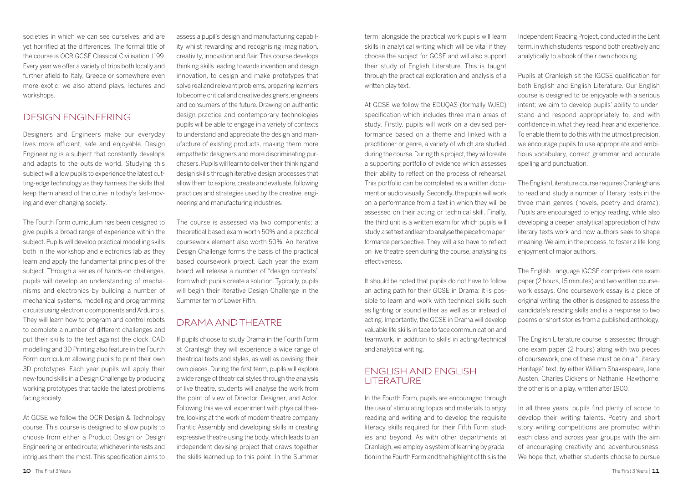societies in which we can see ourselves, and are yet horrified at the differences. The formal title of the course is OCR GCSE Classical Civilisation J199. Every year we offer a variety of trips both locally and further afield to Italy, Greece or somewhere even more exotic; we also attend plays, lectures and workshops.

#### DESIGN ENGINEERING

Designers and Engineers make our everyday lives more efficient, safe and enjoyable. Design Engineering is a subject that constantly develops and adapts to the outside world. Studying this subject will allow pupils to experience the latest cutting-edge technology as they harness the skills that keep them ahead of the curve in today's fast-moving and ever-changing society.

The Fourth Form curriculum has been designed to give pupils a broad range of experience within the subject. Pupils will develop practical modelling skills both in the workshop and electronics lab as they learn and apply the fundamental principles of the subject. Through a series of hands-on challenges, pupils will develop an understanding of mechanisms and electronics by building a number of mechanical systems, modelling and programming circuits using electronic components and Arduino's. They will learn how to program and control robots to complete a number of different challenges and put their skills to the test against the clock. CAD modelling and 3D Printing also feature in the Fourth Form curriculum allowing pupils to print their own 3D prototypes. Each year pupils will apply their new-found skills in a Design Challenge by producing working prototypes that tackle the latest problems facing society.

At GCSE we follow the OCR Design & Technology course. This course is designed to allow pupils to choose from either a Product Design or Design Engineering oriented route; whichever interests and intrigues them the most. This specification aims to assess a pupil's design and manufacturing capability whilst rewarding and recognising imagination, creativity, innovation and flair. This course develops thinking skills leading towards invention and design innovation, to design and make prototypes that solve real and relevant problems, preparing learners to become critical and creative designers, engineers and consumers of the future. Drawing on authentic design practice and contemporary technologies pupils will be able to engage in a variety of contexts to understand and appreciate the design and manufacture of existing products, making them more empathetic designers and more discriminating purchasers. Pupils will learn to deliver their thinking and design skills through iterative design processes that allow them to explore, create and evaluate, following practices and strategies used by the creative, engineering and manufacturing industries.

The course is assessed via two components; a theoretical based exam worth 50% and a practical coursework element also worth 50%. An Iterative Design Challenge forms the basis of the practical based coursework project. Each year the exam board will release a number of "design contexts" from which pupils create a solution. Typically, pupils will begin their Iterative Design Challenge in the Summer term of Lower Fifth.

#### DRAMA AND THEATRE

If pupils choose to study Drama in the Fourth Form at Cranleigh they will experience a wide range of theatrical texts and styles, as well as devising their own pieces. During the first term, pupils will explore a wide range of theatrical styles through the analysis of live theatre, students will analyse the work from the point of view of Director, Designer, and Actor. Following this we will experiment with physical theatre, looking at the work of modern theatre company Frantic Assembly and developing skills in creating expressive theatre using the body, which leads to an independent devising project that draws together the skills learned up to this point. In the Summer

term, alongside the practical work pupils will learn skills in analytical writing which will be vital if they choose the subject for GCSE and will also support their study of English Literature. This is taught through the practical exploration and analysis of a written play text.

At GCSE we follow the EDUQAS (formally WJEC) specification which includes three main areas of study. Firstly, pupils will work on a devised performance based on a theme and linked with a practitioner or genre, a variety of which are studied during the course. During this project, they will create a supporting portfolio of evidence which assesses their ability to reflect on the process of rehearsal. This portfolio can be completed as a written document or audio visually. Secondly, the pupils will work on a performance from a text in which they will be assessed on their acting or technical skill. Finally, the third unit is a written exam for which pupils will study a set text and learn to analyse the piece from a performance perspective. They will also have to reflect on live theatre seen during the course, analysing its effectiveness.

It should be noted that pupils do not have to follow an acting path for their GCSE in Drama; it is possible to learn and work with technical skills such as lighting or sound either as well as or instead of acting. Importantly, the GCSE in Drama will develop valuable life skills in face to face communication and teamwork, in addition to skills in acting/technical and analytical writing.

#### ENGLISH AND ENGLISH LITERATURE

In the Fourth Form, pupils are encouraged through the use of stimulating topics and materials to enjoy reading and writing and to develop the requisite literacy skills required for their Fifth Form studies and beyond. As with other departments at Cranleigh, we employ a system of learning by gradation in the Fourth Form and the highlight of this is the

Independent Reading Project, conducted in the Lent term, in which students respond both creatively and analytically to a book of their own choosing.

Pupils at Cranleigh sit the IGCSE qualification for both English and English Literature. Our English course is designed to be enjoyable with a serious intent; we aim to develop pupils' ability to understand and respond appropriately to, and with confidence in, what they read, hear and experience. To enable them to do this with the utmost precision, we encourage pupils to use appropriate and ambitious vocabulary, correct grammar and accurate spelling and punctuation.

The English Literature course requires Cranleighans to read and study a number of literary texts in the three main genres (novels, poetry and drama). Pupils are encouraged to enjoy reading, while also developing a deeper analytical appreciation of how literary texts work and how authors seek to shape meaning. We aim, in the process, to foster a life-long enjoyment of major authors.

The English Language IGCSE comprises one exam paper (2 hours, 15 minutes) and two written coursework essays. One coursework essay is a piece of original writing; the other is designed to assess the candidate's reading skills and is a response to two poems or short stories from a published anthology.

The English Literature course is assessed through one exam paper (2 hours) along with two pieces of coursework, one of these must be on a "Literary Heritage" text, by either William Shakespeare, Jane Austen, Charles Dickens or Nathaniel Hawthorne; the other is on a play, written after 1900.

In all three years, pupils find plenty of scope to develop their writing talents. Poetry and short story writing competitions are promoted within each class and across year groups with the aim of encouraging creativity and adventurousness. We hope that, whether students choose to pursue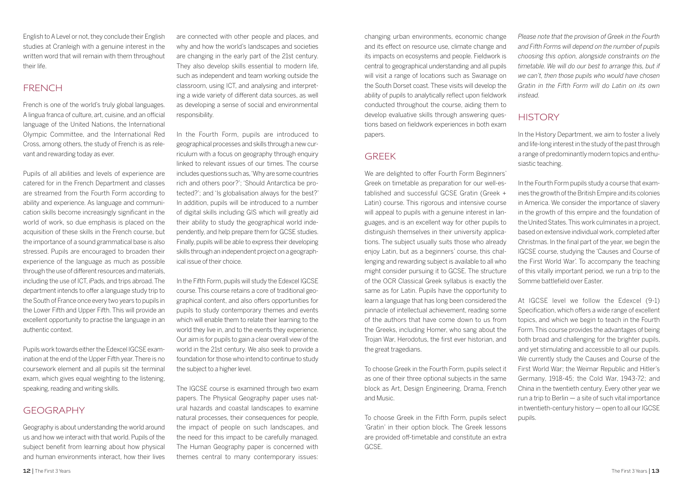English to A Level or not, they conclude their English studies at Cranleigh with a genuine interest in the written word that will remain with them throughout their life.

#### FRENCH

French is one of the world's truly global languages. A lingua franca of culture, art, cuisine, and an official language of the United Nations, the International Olympic Committee, and the International Red Cross, among others, the study of French is as relevant and rewarding today as ever.

Pupils of all abilities and levels of experience are catered for in the French Department and classes are streamed from the Fourth Form according to ability and experience. As language and communication skills become increasingly significant in the world of work, so due emphasis is placed on the acquisition of these skills in the French course, but the importance of a sound grammatical base is also stressed. Pupils are encouraged to broaden their experience of the language as much as possible through the use of different resources and materials, including the use of ICT, iPads, and trips abroad. The department intends to offer a language study trip to the South of France once every two years to pupils in the Lower Fifth and Upper Fifth. This will provide an excellent opportunity to practise the language in an authentic context.

Pupils work towards either the Edexcel IGCSE examination at the end of the Upper Fifth year. There is no coursework element and all pupils sit the terminal exam, which gives equal weighting to the listening, speaking, reading and writing skills.

#### GEOGRAPHY

Geography is about understanding the world around us and how we interact with that world. Pupils of the subject benefit from learning about how physical and human environments interact, how their lives are connected with other people and places, and why and how the world's landscapes and societies are changing in the early part of the 21st century. They also develop skills essential to modern life, such as independent and team working outside the classroom, using ICT, and analysing and interpreting a wide variety of different data sources, as well as developing a sense of social and environmental responsibility.

In the Fourth Form, pupils are introduced to geographical processes and skills through a new curriculum with a focus on geography through enquiry linked to relevant issues of our times. The course includes questions such as, 'Why are some countries rich and others poor?'; 'Should Antarctica be protected?'; and 'Is globalisation always for the best?' In addition, pupils will be introduced to a number of digital skills including GIS which will greatly aid their ability to study the geographical world independently, and help prepare them for GCSE studies. Finally, pupils will be able to express their developing skills through an independent project on a geographical issue of their choice.

In the Fifth Form, pupils will study the Edexcel IGCSE course. This course retains a core of traditional geographical content, and also offers opportunities for pupils to study contemporary themes and events which will enable them to relate their learning to the world they live in, and to the events they experience. Our aim is for pupils to gain a clear overall view of the world in the 21st century. We also seek to provide a foundation for those who intend to continue to study the subject to a higher level.

The IGCSE course is examined through two exam papers. The Physical Geography paper uses natural hazards and coastal landscapes to examine natural processes, their consequences for people the impact of people on such landscapes, and the need for this impact to be carefully managed. The Human Geography paper is concerned with themes central to many contemporary issues: changing urban environments, economic change and its effect on resource use, climate change and its impacts on ecosystems and people. Fieldwork is central to geographical understanding and all pupils will visit a range of locations such as Swanage on the South Dorset coast. These visits will develop the ability of pupils to analytically reflect upon fieldwork conducted throughout the course, aiding them to develop evaluative skills through answering questions based on fieldwork experiences in both exam papers.

#### GREEK

We are delighted to offer Fourth Form Beginners' Greek on timetable as preparation for our well-established and successful GCSE Gratin (Greek + Latin) course. This rigorous and intensive course will appeal to pupils with a genuine interest in languages, and is an excellent way for other pupils to distinguish themselves in their university applications. The subject usually suits those who already enjoy Latin, but as a beginners' course, this challenging and rewarding subject is available to all who might consider pursuing it to GCSE. The structure of the OCR Classical Greek syllabus is exactly the same as for Latin. Pupils have the opportunity to learn a language that has long been considered the pinnacle of intellectual achievement, reading some of the authors that have come down to us from the Greeks, including Homer, who sang about the Trojan War, Herodotus, the first ever historian, and the great tragedians.

To choose Greek in the Fourth Form, pupils select it as one of their three optional subjects in the same block as Art, Design Engineering, Drama, French and Music.

To choose Greek in the Fifth Form, pupils select 'Gratin' in their option block. The Greek lessons are provided off-timetable and constitute an extra GCSE.

*Please note that the provision of Greek in the Fourth and Fifth Forms will depend on the number of pupils choosing this option, alongside constraints on the timetable. We will do our best to arrange this, but if we can't, then those pupils who would have chosen Gratin in the Fifth Form will do Latin on its own instead.*

#### **HISTORY**

In the History Department, we aim to foster a lively and life-long interest in the study of the past through a range of predominantly modern topics and enthusiastic teaching.

In the Fourth Form pupils study a course that examines the growth of the British Empire and its colonies in America. We consider the importance of slavery in the growth of this empire and the foundation of the United States. This work culminates in a project, based on extensive individual work, completed after Christmas. In the final part of the year, we begin the IGCSE course, studying the 'Causes and Course of the First World War'. To accompany the teaching of this vitally important period, we run a trip to the Somme battlefield over Easter.

At IGCSE level we follow the Edexcel (9-1) Specification, which offers a wide range of excellent topics, and which we begin to teach in the Fourth Form. This course provides the advantages of being both broad and challenging for the brighter pupils, and yet stimulating and accessible to all our pupils. We currently study the Causes and Course of the First World War; the Weimar Republic and Hitler's Germany, 1918-45; the Cold War, 1943-72; and China in the twentieth century. Every other year we run a trip to Berlin — a site of such vital importance in twentieth-century history — open to all our IGCSE pupils.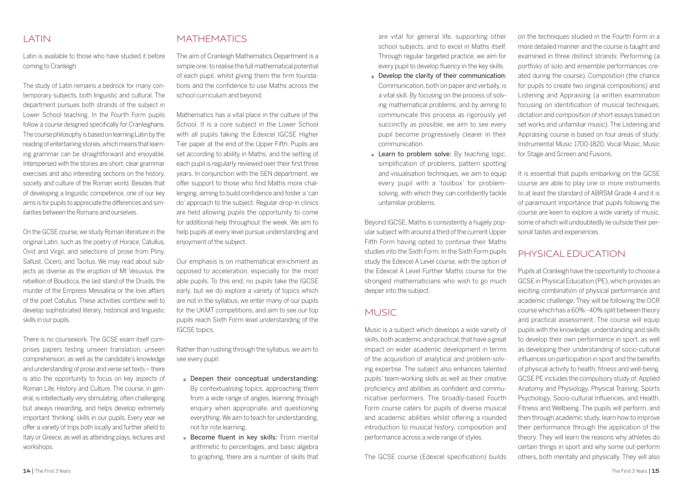#### LATIN

Latin is available to those who have studied it before coming to Cranleigh.

The study of Latin remains a bedrock for many contemporary subjects, both linguistic and cultural. The department pursues both strands of the subject in Lower School teaching. In the Fourth Form pupils follow a course designed specifically for Cranleighans. The course philosophy is based on learning Latin by the reading of entertaining stories, which means that learning grammar can be straightforward and enjoyable. Interspersed with the stories are short, clear grammar exercises and also interesting sections on the history, society and culture of the Roman world. Besides that of developing a linguistic competence, one of our key aims is for pupils to appreciate the differences and similarities between the Romans and ourselves.

On the GCSE course, we study Roman literature in the original Latin, such as the poetry of Horace, Catullus, Ovid and Virgil, and selections of prose from Pliny, Sallust, Cicero, and Tacitus. We may read about subjects as diverse as the eruption of Mt Vesuvius, the rebellion of Boudicca, the last stand of the Druids, the murder of the Empress Messalina or the love affairs of the poet Catullus. These activities combine well to develop sophisticated literary, historical and linguistic skills in our pupils.

There is no coursework. The GCSE exam itself comprises papers testing unseen translation, unseen comprehension, as well as the candidate's knowledge and understanding of prose and verse set texts – there is also the opportunity to focus on key aspects of Roman Life, History and Culture. The course, in general, is intellectually very stimulating, often challenging but always rewarding, and helps develop extremely important 'thinking' skills in our pupils. Every year we offer a variety of trips both locally and further afield to Italy or Greece, as well as attending plays, lectures and workshops.

#### MATHEMATICS

The aim of Cranleigh Mathematics Department is a simple one: to realise the full mathematical potential of each pupil, whilst giving them the firm foundations and the confidence to use Maths across the school curriculum and beyond.

Mathematics has a vital place in the culture of the School. It is a core subject in the Lower School. with all pupils taking the Edexcel IGCSE Higher Tier paper at the end of the Upper Fifth. Pupils are set according to ability in Maths, and the setting of each pupil is regularly reviewed over their first three years. In conjunction with the SEN department, we offer support to those who find Maths more challenging, aiming to build confidence and foster a 'can do' approach to the subject. Regular drop-in clinics are held allowing pupils the opportunity to come for additional help throughout the week. We aim to help pupils at every level pursue understanding and enjoyment of the subject.

Our emphasis is on mathematical enrichment as opposed to acceleration, especially for the most able pupils. To this end, no pupils take the IGCSE early, but we do explore a variety of topics which are not in the syllabus, we enter many of our pupils for the UKMT competitions, and aim to see our top pupils reach Sixth Form level understanding of the IGCSE topics.

Rather than rushing through the syllabus, we aim to see every pupil:

- Deepen their conceptual understanding: By contextualising topics, approaching them from a wide range of angles, learning through enquiry when appropriate, and questioning everything. We aim to teach for understanding, not for rote learning.
- Become fluent in key skills: From mental arithmetic to percentages, and basic algebra to graphing, there are a number of skills that

are vital for general life, supporting other school subjects, and to excel in Maths itself. Through regular targeted practice, we aim for every pupil to develop fluency in the key skills.

- Develop the clarity of their communication: Communication, both on paper and verbally, is a vital skill. By focusing on the process of solving mathematical problems, and by aiming to communicate this process as rigorously yet succinctly as possible, we aim to see every pupil become progressively clearer in their communication.
- Learn to problem solve: By teaching logic, simplification of problems, pattern spotting and visualisation techniques, we aim to equip every pupil with a 'toolbox' for problemsolving, with which they can confidently tackle unfamiliar problems.

Beyond IGCSE, Maths is consistently a hugely popular subject with around a third of the current Upper Fifth Form having opted to continue their Maths studies into the Sixth Form. In the Sixth Form pupils study the Edexcel A Level course, with the option of the Edexcel A Level Further Maths course for the strongest mathematicians who wish to go much deeper into the subject.

#### MUSIC

Music is a subject which develops a wide variety of skills, both academic and practical, that have a great impact on wider academic development in terms of the acquisition of analytical and problem-solving expertise. The subject also enhances talented pupils' team-working skills as well as their creative proficiency and abilities as confident and communicative performers. The broadly-based Fourth Form course caters for pupils of diverse musical and academic abilities whilst offering a rounded introduction to musical history, composition and performance across a wide range of styles.

The GCSE course (Edexcel specification) builds

on the techniques studied in the Fourth Form in a more detailed manner and the course is taught and examined in three distinct strands: Performing (a portfolio of solo and ensemble performances created during the course), Composition (the chance for pupils to create two original compositions) and Listening and Appraising (a written examination focusing on identification of musical techniques, dictation and composition of short essays based on set works and unfamiliar music). The Listening and Appraising course is based on four areas of study: Instrumental Music 1700-1820, Vocal Music, Music for Stage and Screen and Fusions.

It is essential that pupils embarking on the GCSE course are able to play one or more instruments to at least the standard of ABRSM Grade 4 and it is of paramount importance that pupils following the course are keen to explore a wide variety of music, some of which will undoubtedly lie outside their personal tastes and experiences.

#### PHYSICAL EDUCATION

Pupils at Cranleigh have the opportunity to choose a GCSE in Physical Education (PE), which provides an exciting combination of physical performance and academic challenge. They will be following the OCR course which has a 60% - 40% split between theory and practical assessment. The course will equip pupils with the knowledge, understanding and skills to develop their own performance in sport, as well as developing their understanding of socio-cultural influences on participation in sport and the benefits of physical activity to health, fitness and well-being. GCSE PE includes the compulsory study of: Applied Anatomy and Physiology, Physical Training, Sports Psychology, Socio-cultural Influences, and Health, Fitness and Wellbeing. The pupils will perform, and then through academic study, learn how to improve their performance through the application of the theory. They will learn the reasons why athletes do certain things in sport and why some out-perform others, both mentally and physically. They will also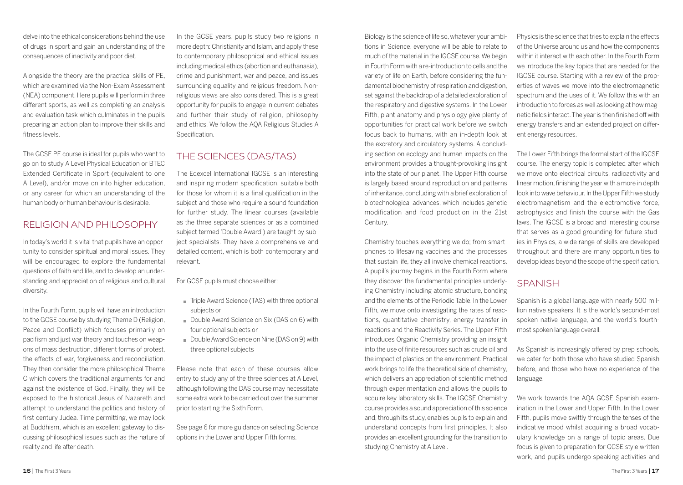delve into the ethical considerations behind the use of drugs in sport and gain an understanding of the consequences of inactivity and poor diet.

Alongside the theory are the practical skills of PE, which are examined via the Non-Exam Assessment (NEA) component. Here pupils will perform in three different sports, as well as completing an analysis and evaluation task which culminates in the pupils preparing an action plan to improve their skills and fitness levels.

The GCSE PE course is ideal for pupils who want to go on to study A Level Physical Education or BTEC Extended Certificate in Sport (equivalent to one A Level), and/or move on into higher education, or any career for which an understanding of the human body or human behaviour is desirable.

#### RELIGION AND PHILOSOPHY

In today's world it is vital that pupils have an opportunity to consider spiritual and moral issues. They will be encouraged to explore the fundamental questions of faith and life, and to develop an understanding and appreciation of religious and cultural diversity.

In the Fourth Form, pupils will have an introduction to the GCSE course by studying Theme D (Religion, Peace and Conflict) which focuses primarily on pacifism and just war theory and touches on weapons of mass destruction, different forms of protest, the effects of war, forgiveness and reconciliation. They then consider the more philosophical Theme C which covers the traditional arguments for and against the existence of God. Finally, they will be exposed to the historical Jesus of Nazareth and attempt to understand the politics and history of first century Judea. Time permitting, we may look at Buddhism, which is an excellent gateway to discussing philosophical issues such as the nature of reality and life after death.

In the GCSE years, pupils study two religions in more depth: Christianity and Islam, and apply these to contemporary philosophical and ethical issues including medical ethics (abortion and euthanasia), crime and punishment, war and peace, and issues surrounding equality and religious freedom. Nonreligious views are also considered. This is a great opportunity for pupils to engage in current debates and further their study of religion, philosophy and ethics. We follow the AQA Religious Studies A **Specification** 

#### THE SCIENCES (DAS/TAS)

The Edexcel International IGCSE is an interesting and inspiring modern specification, suitable both for those for whom it is a final qualification in the subject and those who require a sound foundation for further study. The linear courses (available as the three separate sciences or as a combined subject termed 'Double Award') are taught by subject specialists. They have a comprehensive and detailed content, which is both contemporary and relevant.

For GCSE pupils must choose either:

- Triple Award Science (TAS) with three optional subjects or
- Double Award Science on Six (DAS on 6) with four optional subjects or
- Double Award Science on Nine (DAS on 9) with three optional subjects

Please note that each of these courses allow entry to study any of the three sciences at A Level, although following the DAS course may necessitate some extra work to be carried out over the summer prior to starting the Sixth Form.

See page 6 for more guidance on selecting Science options in the Lower and Upper Fifth forms.

Biology is the science of life so, whatever your ambitions in Science, everyone will be able to relate to much of the material in the IGCSE course. We begin in Fourth Form with a re-introduction to cells and the variety of life on Earth, before considering the fundamental biochemistry of respiration and digestion, set against the backdrop of a detailed exploration of the respiratory and digestive systems. In the Lower Fifth, plant anatomy and physiology give plenty of opportunities for practical work before we switch focus back to humans, with an in-depth look at the excretory and circulatory systems. A concluding section on ecology and human impacts on the environment provides a thought-provoking insight into the state of our planet. The Upper Fifth course is largely based around reproduction and patterns of inheritance, concluding with a brief exploration of biotechnological advances, which includes genetic modification and food production in the 21st Century.

Chemistry touches everything we do; from smartphones to lifesaving vaccines and the processes that sustain life, they all involve chemical reactions. A pupil's journey begins in the Fourth Form where they discover the fundamental principles underlying Chemistry including atomic structure, bonding and the elements of the Periodic Table. In the Lower Fifth, we move onto investigating the rates of reactions, quantitative chemistry, energy transfer in reactions and the Reactivity Series. The Upper Fifth introduces Organic Chemistry providing an insight into the use of finite resources such as crude oil and the impact of plastics on the environment. Practical work brings to life the theoretical side of chemistry, which delivers an appreciation of scientific method through experimentation and allows the pupils to acquire key laboratory skills. The IGCSE Chemistry course provides a sound appreciation of this science and, through its study, enables pupils to explain and understand concepts from first principles. It also provides an excellent grounding for the transition to studying Chemistry at A Level.

Physics is the science that tries to explain the effects of the Universe around us and how the components within it interact with each other. In the Fourth Form we introduce the key topics that are needed for the IGCSE course. Starting with a review of the properties of waves we move into the electromagnetic spectrum and the uses of it. We follow this with an introduction to forces as well as looking at how magnetic fields interact. The year is then finished off with energy transfers and an extended project on different energy resources.

The Lower Fifth brings the formal start of the IGCSE course. The energy topic is completed after which we move onto electrical circuits, radioactivity and linear motion, finishing the year with a more in depth look into wave behaviour. In the Upper Fifth we study electromagnetism and the electromotive force, astrophysics and finish the course with the Gas laws. The IGCSE is a broad and interesting course that serves as a good grounding for future studies in Physics, a wide range of skills are developed throughout and there are many opportunities to develop ideas beyond the scope of the specification.

#### **SPANISH**

Spanish is a global language with nearly 500 million native speakers. It is the world's second-most spoken native language, and the world's fourthmost spoken language overall.

As Spanish is increasingly offered by prep schools, we cater for both those who have studied Spanish before, and those who have no experience of the language.

We work towards the AQA GCSE Spanish examination in the Lower and Upper Fifth. In the Lower Fifth, pupils move swiftly through the tenses of the indicative mood whilst acquiring a broad vocabulary knowledge on a range of topic areas. Due focus is given to preparation for GCSE style written work, and pupils undergo speaking activities and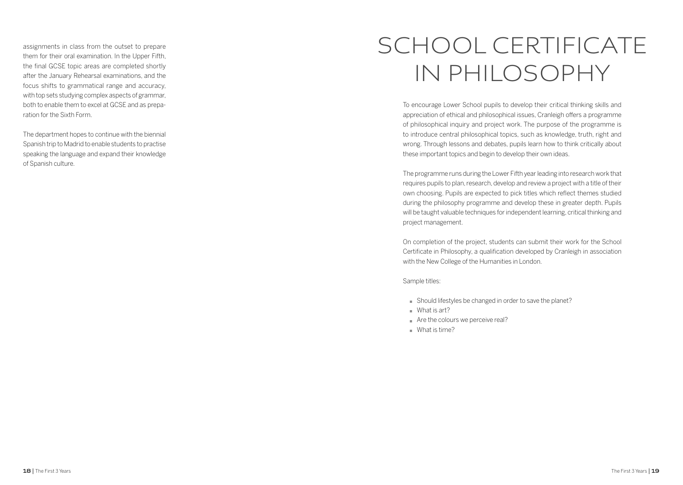assignments in class from the outset to prepare them for their oral examination. In the Upper Fifth, the final GCSE topic areas are completed shortly after the January Rehearsal examinations, and the focus shifts to grammatical range and accuracy, with top sets studying complex aspects of grammar, both to enable them to excel at GCSE and as preparation for the Sixth Form.

The department hopes to continue with the biennial Spanish trip to Madrid to enable students to practise speaking the language and expand their knowledge of Spanish culture.

# SCHOOL CERTIFICATE IN PHILOSOPHY

To encourage Lower School pupils to develop their critical thinking skills and appreciation of ethical and philosophical issues, Cranleigh offers a programme of philosophical inquiry and project work. The purpose of the programme is to introduce central philosophical topics, such as knowledge, truth, right and wrong. Through lessons and debates, pupils learn how to think critically about these important topics and begin to develop their own ideas.

The programme runs during the Lower Fifth year leading into research work that requires pupils to plan, research, develop and review a project with a title of their own choosing. Pupils are expected to pick titles which reflect themes studied during the philosophy programme and develop these in greater depth. Pupils will be taught valuable techniques for independent learning, critical thinking and project management.

On completion of the project, students can submit their work for the School Certificate in Philosophy, a qualification developed by Cranleigh in association with the New College of the Humanities in London.

Sample titles:

- Should lifestyles be changed in order to save the planet?
- $What$  is art?
- Are the colours we perceive real?
- $What$  is time?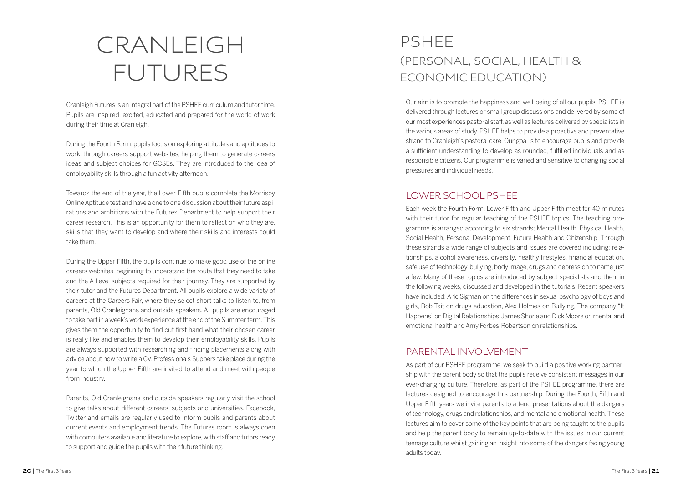# CRANLEIGH FUTURES

Cranleigh Futures is an integral part of the PSHEE curriculum and tutor time. Pupils are inspired, excited, educated and prepared for the world of work during their time at Cranleigh.

During the Fourth Form, pupils focus on exploring attitudes and aptitudes to work, through careers support websites, helping them to generate careers ideas and subject choices for GCSEs. They are introduced to the idea of employability skills through a fun activity afternoon.

Towards the end of the year, the Lower Fifth pupils complete the Morrisby Online Aptitude test and have a one to one discussion about their future aspi rations and ambitions with the Futures Department to help support their career research. This is an opportunity for them to reflect on who they are, skills that they want to develop and where their skills and interests could take them.

During the Upper Fifth, the pupils continue to make good use of the online careers websites, beginning to understand the route that they need to take and the A Level subjects required for their journey. They are supported by their tutor and the Futures Department. All pupils explore a wide variety of careers at the Careers Fair, where they select short talks to listen to, from parents, Old Cranleighans and outside speakers. All pupils are encouraged to take part in a week's work experience at the end of the Summer term. This gives them the opportunity to find out first hand what their chosen career is really like and enables them to develop their employability skills. Pupils are always supported with researching and finding placements along with advice about how to write a CV. Professionals Suppers take place during the year to which the Upper Fifth are invited to attend and meet with people from industry.

Parents, Old Cranleighans and outside speakers regularly visit the school to give talks about different careers, subjects and universities. Facebook, Twitter and emails are regularly used to inform pupils and parents about current events and employment trends. The Futures room is always open with computers available and literature to explore, with staff and tutors ready to support and guide the pupils with their future thinking.

### PSHEE (PERSONAL, SOCIAL, HEALTH & ECONOMIC EDUCATION)

Our aim is to promote the happiness and well-being of all our pupils. PSHEE is delivered through lectures or small group discussions and delivered by some of our most experiences pastoral staff, as well as lectures delivered by specialists in the various areas of study. PSHEE helps to provide a proactive and preventative strand to Cranleigh's pastoral care. Our goal is to encourage pupils and provide a sufficient understanding to develop as rounded, fulfilled individuals and as responsible citizens. Our programme is varied and sensitive to changing social pressures and individual needs.

### LOWER SCHOOL PSHEE

Each week the Fourth Form, Lower Fifth and Upper Fifth meet for 40 minutes with their tutor for regular teaching of the PSHEE topics. The teaching pro gramme is arranged according to six strands; Mental Health, Physical Health, Social Health, Personal Development, Future Health and Citizenship. Through these strands a wide range of subjects and issues are covered including: rela tionships, alcohol awareness, diversity, healthy lifestyles, financial education, safe use of technology, bullying, body image, drugs and depression to name just a few. Many of these topics are introduced by subject specialists and then, in the following weeks, discussed and developed in the tutorials. Recent speakers have included; Aric Sigman on the differences in sexual psychology of boys and girls, Bob Tait on drugs education, Alex Holmes on Bullying, The company "It Happens" on Digital Relationships, James Shone and Dick Moore on mental and emotional health and Amy Forbes-Robertson on relationships.

#### PARENTAL INVOLVEMENT

As part of our PSHEE programme, we seek to build a positive working partner ship with the parent body so that the pupils receive consistent messages in our ever-changing culture. Therefore, as part of the PSHEE programme, there are lectures designed to encourage this partnership. During the Fourth, Fifth and Upper Fifth years we invite parents to attend presentations about the dangers of technology, drugs and relationships, and mental and emotional health. These lectures aim to cover some of the key points that are being taught to the pupils and help the parent body to remain up-to-date with the issues in our current teenage culture whilst gaining an insight into some of the dangers facing young adults today.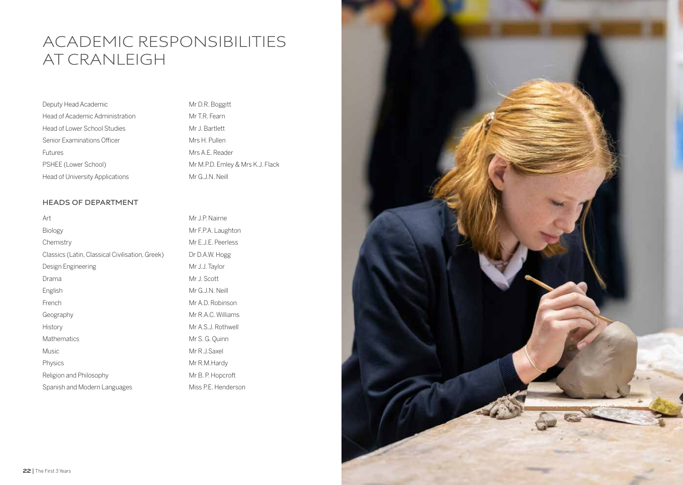### ACADEMIC RESPONSIBILITIES AT CRANLEIGH

| Deputy Head Academic            |
|---------------------------------|
| Head of Academic Administration |
| Head of Lower School Studies    |
| Senior Examinations Officer     |
| <b>Futures</b>                  |
| PSHEE (Lower School)            |
| Head of University Applications |

Mr D.R. Boggitt Mr T.R. Fearn Mr J. Bartlett Mrs H. Pullen Mrs A.F. Reader Mr M.P.D. Emley & Mrs K.J. Flack Mr G.J.N. Neill

#### **HEADS OF DEPARTMENT**

| Art                                             | Mr J.P. Nairne      |  |
|-------------------------------------------------|---------------------|--|
| <b>Biology</b>                                  | Mr F.P.A. Laughton  |  |
| Chemistry                                       | Mr E.J.E. Peerless  |  |
| Classics (Latin, Classical Civilisation, Greek) | Dr D.A.W. Hogg      |  |
| Design Engineering                              | Mr J.J. Taylor      |  |
| Drama                                           | Mr J. Scott         |  |
| English                                         | Mr G.J.N. Neill     |  |
| French                                          | Mr A.D. Robinson    |  |
| Geography                                       | Mr R.A.C. Williams  |  |
| History                                         | Mr A.S.J. Rothwell  |  |
| <b>Mathematics</b>                              | Mr S. G. Ouinn      |  |
| <b>Music</b>                                    | Mr R.J.Saxel        |  |
| Physics                                         | Mr R.M.Hardy        |  |
| Religion and Philosophy                         | Mr B. P. Hopcroft   |  |
| Spanish and Modern Languages                    | Miss P.E. Henderson |  |